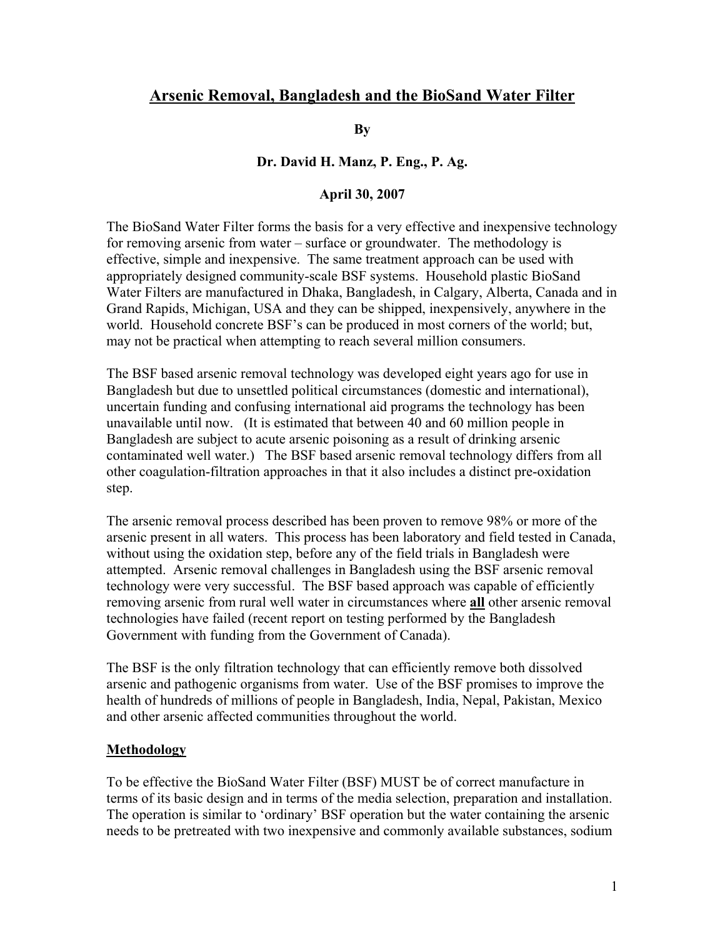# **Arsenic Removal, Bangladesh and the BioSand Water Filter**

**By** 

#### **Dr. David H. Manz, P. Eng., P. Ag.**

#### **April 30, 2007**

The BioSand Water Filter forms the basis for a very effective and inexpensive technology for removing arsenic from water – surface or groundwater. The methodology is effective, simple and inexpensive. The same treatment approach can be used with appropriately designed community-scale BSF systems. Household plastic BioSand Water Filters are manufactured in Dhaka, Bangladesh, in Calgary, Alberta, Canada and in Grand Rapids, Michigan, USA and they can be shipped, inexpensively, anywhere in the world. Household concrete BSF's can be produced in most corners of the world; but, may not be practical when attempting to reach several million consumers.

The BSF based arsenic removal technology was developed eight years ago for use in Bangladesh but due to unsettled political circumstances (domestic and international), uncertain funding and confusing international aid programs the technology has been unavailable until now. (It is estimated that between 40 and 60 million people in Bangladesh are subject to acute arsenic poisoning as a result of drinking arsenic contaminated well water.) The BSF based arsenic removal technology differs from all other coagulation-filtration approaches in that it also includes a distinct pre-oxidation step.

The arsenic removal process described has been proven to remove 98% or more of the arsenic present in all waters. This process has been laboratory and field tested in Canada, without using the oxidation step, before any of the field trials in Bangladesh were attempted. Arsenic removal challenges in Bangladesh using the BSF arsenic removal technology were very successful. The BSF based approach was capable of efficiently removing arsenic from rural well water in circumstances where **all** other arsenic removal technologies have failed (recent report on testing performed by the Bangladesh Government with funding from the Government of Canada).

The BSF is the only filtration technology that can efficiently remove both dissolved arsenic and pathogenic organisms from water. Use of the BSF promises to improve the health of hundreds of millions of people in Bangladesh, India, Nepal, Pakistan, Mexico and other arsenic affected communities throughout the world.

#### **Methodology**

To be effective the BioSand Water Filter (BSF) MUST be of correct manufacture in terms of its basic design and in terms of the media selection, preparation and installation. The operation is similar to 'ordinary' BSF operation but the water containing the arsenic needs to be pretreated with two inexpensive and commonly available substances, sodium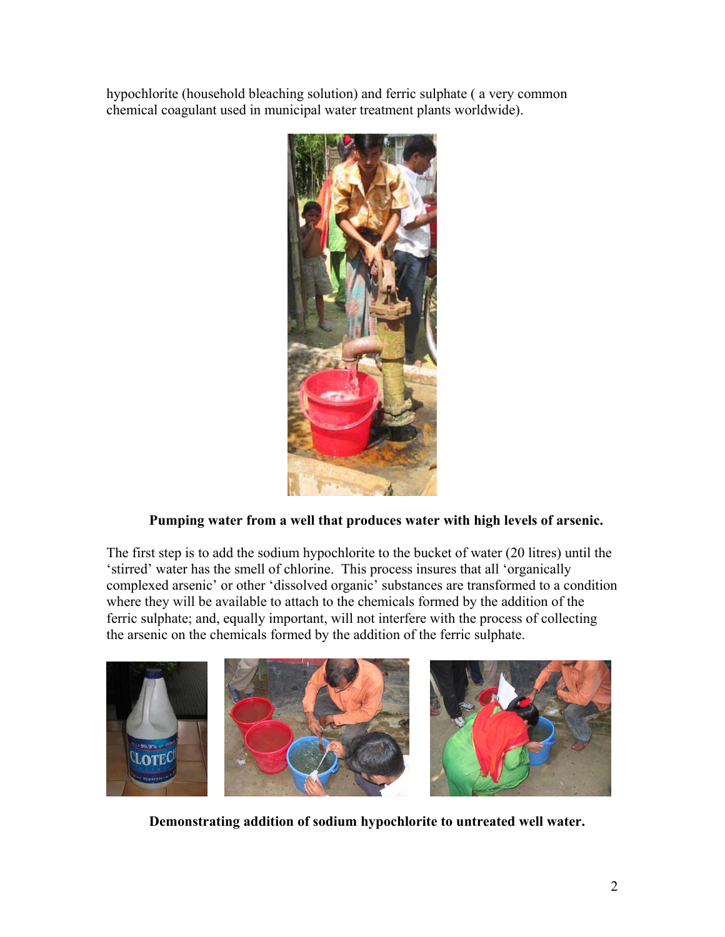hypochlorite (household bleaching solution) and ferric sulphate ( a very common chemical coagulant used in municipal water treatment plants worldwide).



# **Pumping water from a well that produces water with high levels of arsenic.**

The first step is to add the sodium hypochlorite to the bucket of water (20 litres) until the 'stirred' water has the smell of chlorine. This process insures that all 'organically complexed arsenic' or other 'dissolved organic' substances are transformed to a condition where they will be available to attach to the chemicals formed by the addition of the ferric sulphate; and, equally important, will not interfere with the process of collecting the arsenic on the chemicals formed by the addition of the ferric sulphate.



 **Demonstrating addition of sodium hypochlorite to untreated well water.**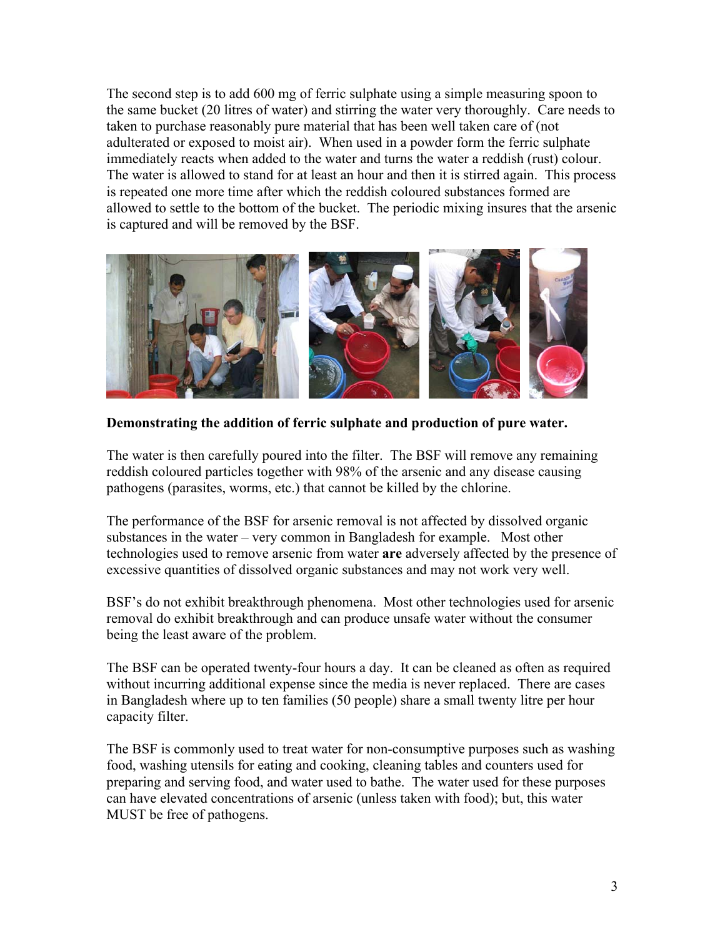The second step is to add 600 mg of ferric sulphate using a simple measuring spoon to the same bucket (20 litres of water) and stirring the water very thoroughly. Care needs to taken to purchase reasonably pure material that has been well taken care of (not adulterated or exposed to moist air). When used in a powder form the ferric sulphate immediately reacts when added to the water and turns the water a reddish (rust) colour. The water is allowed to stand for at least an hour and then it is stirred again. This process is repeated one more time after which the reddish coloured substances formed are allowed to settle to the bottom of the bucket. The periodic mixing insures that the arsenic is captured and will be removed by the BSF.



### **Demonstrating the addition of ferric sulphate and production of pure water.**

The water is then carefully poured into the filter. The BSF will remove any remaining reddish coloured particles together with 98% of the arsenic and any disease causing pathogens (parasites, worms, etc.) that cannot be killed by the chlorine.

The performance of the BSF for arsenic removal is not affected by dissolved organic substances in the water – very common in Bangladesh for example. Most other technologies used to remove arsenic from water **are** adversely affected by the presence of excessive quantities of dissolved organic substances and may not work very well.

BSF's do not exhibit breakthrough phenomena. Most other technologies used for arsenic removal do exhibit breakthrough and can produce unsafe water without the consumer being the least aware of the problem.

The BSF can be operated twenty-four hours a day. It can be cleaned as often as required without incurring additional expense since the media is never replaced. There are cases in Bangladesh where up to ten families (50 people) share a small twenty litre per hour capacity filter.

The BSF is commonly used to treat water for non-consumptive purposes such as washing food, washing utensils for eating and cooking, cleaning tables and counters used for preparing and serving food, and water used to bathe. The water used for these purposes can have elevated concentrations of arsenic (unless taken with food); but, this water MUST be free of pathogens.